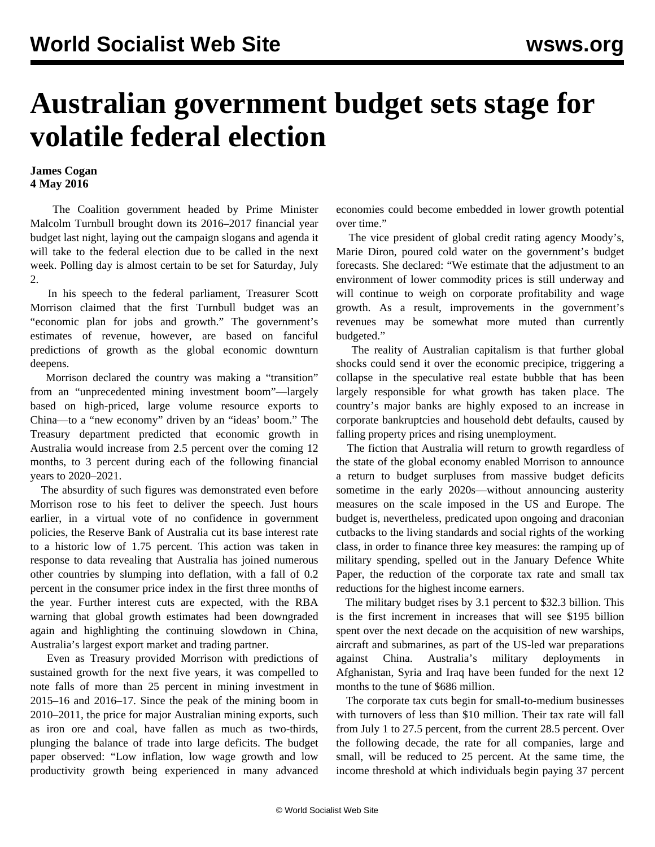## **Australian government budget sets stage for volatile federal election**

## **James Cogan 4 May 2016**

 The Coalition government headed by Prime Minister Malcolm Turnbull brought down its 2016–2017 financial year budget last night, laying out the campaign slogans and agenda it will take to the federal election due to be called in the next week. Polling day is almost certain to be set for Saturday, July 2.

 In his speech to the federal parliament, Treasurer Scott Morrison claimed that the first Turnbull budget was an "economic plan for jobs and growth." The government's estimates of revenue, however, are based on fanciful predictions of growth as the global economic downturn deepens.

 Morrison declared the country was making a "transition" from an "unprecedented mining investment boom"—largely based on high-priced, large volume resource exports to China—to a "new economy" driven by an "ideas' boom." The Treasury department predicted that economic growth in Australia would increase from 2.5 percent over the coming 12 months, to 3 percent during each of the following financial years to 2020–2021.

 The absurdity of such figures was demonstrated even before Morrison rose to his feet to deliver the speech. Just hours earlier, in a virtual vote of no confidence in government policies, the Reserve Bank of Australia cut its base interest rate to a historic low of 1.75 percent. This action was taken in response to data revealing that Australia has joined numerous other countries by slumping into deflation, with a fall of 0.2 percent in the consumer price index in the first three months of the year. Further interest cuts are expected, with the RBA warning that global growth estimates had been downgraded again and highlighting the continuing slowdown in China, Australia's largest export market and trading partner.

 Even as Treasury provided Morrison with predictions of sustained growth for the next five years, it was compelled to note falls of more than 25 percent in mining investment in 2015–16 and 2016–17. Since the peak of the mining boom in 2010–2011, the price for major Australian mining exports, such as iron ore and coal, have fallen as much as two-thirds, plunging the balance of trade into large deficits. The budget paper observed: "Low inflation, low wage growth and low productivity growth being experienced in many advanced economies could become embedded in lower growth potential over time."

 The vice president of global credit rating agency Moody's, Marie Diron, poured cold water on the government's budget forecasts. She declared: "We estimate that the adjustment to an environment of lower commodity prices is still underway and will continue to weigh on corporate profitability and wage growth. As a result, improvements in the government's revenues may be somewhat more muted than currently budgeted."

 The reality of Australian capitalism is that further global shocks could send it over the economic precipice, triggering a collapse in the speculative real estate bubble that has been largely responsible for what growth has taken place. The country's major banks are highly exposed to an increase in corporate bankruptcies and household debt defaults, caused by falling property prices and rising unemployment.

 The fiction that Australia will return to growth regardless of the state of the global economy enabled Morrison to announce a return to budget surpluses from massive budget deficits sometime in the early 2020s—without announcing austerity measures on the scale imposed in the US and Europe. The budget is, nevertheless, predicated upon ongoing and draconian cutbacks to the living standards and social rights of the working class, in order to finance three key measures: the ramping up of military spending, spelled out in the January Defence White Paper, the reduction of the corporate tax rate and small tax reductions for the highest income earners.

 The military budget rises by 3.1 percent to \$32.3 billion. This is the first increment in increases that will see \$195 billion spent over the next decade on the acquisition of new warships, aircraft and submarines, as part of the US-led war preparations against China. Australia's military deployments in Afghanistan, Syria and Iraq have been funded for the next 12 months to the tune of \$686 million.

 The corporate tax cuts begin for small-to-medium businesses with turnovers of less than \$10 million. Their tax rate will fall from July 1 to 27.5 percent, from the current 28.5 percent. Over the following decade, the rate for all companies, large and small, will be reduced to 25 percent. At the same time, the income threshold at which individuals begin paying 37 percent